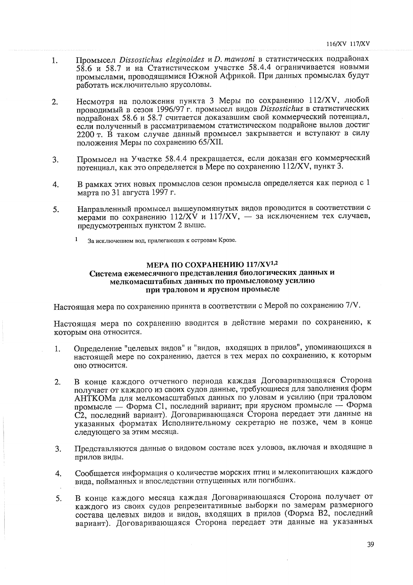## МЕРА ПО СОХРАНЕНИЮ 117/XV<sup>1,2</sup> Система ежемесячного представления биологических данных и мелкомасштабных данных по промысловому усилию при траловом и ярусном промысле

Настоящая мера по сохранению принята в соответствии с Мерой по сохранению 7/V.

Настоящая мера по сохранению вводится в действие мерами по сохранению, к которым она относится.

- Определение "целевых видов" и "видов, входящих в прилов", упоминающихся в  $1.$ настоящей мере по сохранению, дается в тех мерах по сохранению, к которым оно относится.
- В конце каждого отчетного периода каждая Договаривающаяся Сторона  $2.$ получает от каждого из своих судов данные, требующиеся для заполнения форм АНТКОМа для мелкомасштабных данных по уловам и усилию (при траловом промысле — Форма C1, последний вариант; при ярусном промысле — Форма С2, последний вариант). Договаривающаяся Сторона передает эти данные на указанных форматах Исполнительному секретарю не позже, чем в конце следующего за этим месяца.
- Представляются данные о видовом составе всех уловов, включая и входящие в 3. прилов виды.
- Сообщается информация о количестве морских птиц и млекопитающих каждого  $\overline{4}$ . вида, пойманных и впоследствии отпущенных или погибших.
- В конце каждого месяца каждая Договаривающаяся Сторона получает от 5. каждого из своих судов репрезентативные выборки по замерам размерного состава целевых видов и видов, входящих в прилов (Форма В2, последний вариант). Договаривающаяся Сторона передает эти данные на указанных